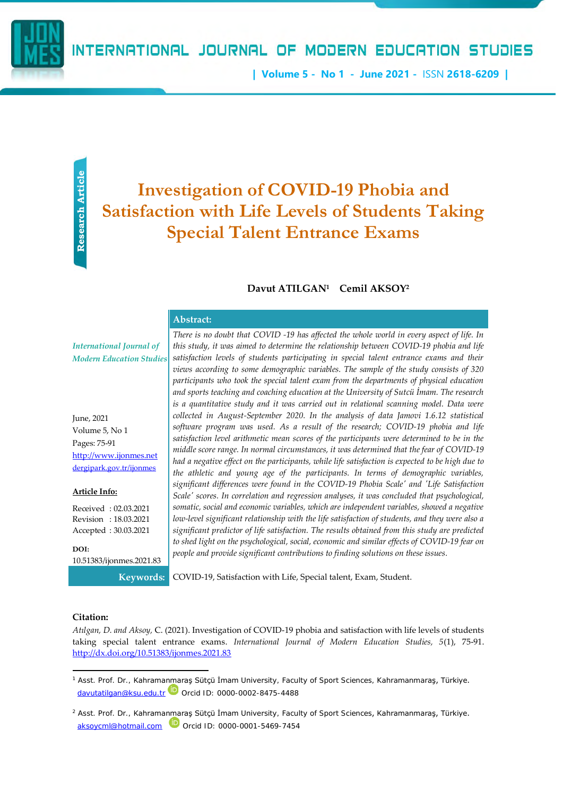**| Volume 5 - No 1 - June 2021 -** ISSN **2618-6209 |**

# **Investigation of COVID-19 Phobia and Satisfaction with Life Levels of Students Taking Special Talent Entrance Exams**

## **Davut ATILGAN<sup>1</sup> Cemil AKSOY<sup>2</sup>**

| Abstract: |  |  |
|-----------|--|--|
|           |  |  |

*International Journal of Modern Education Studies*

June, 2021 Volume 5, No 1 Pages: 75-91 [http://www.ijonmes.net](http://www.ijonmes.net/) [dergipark.gov.tr/ijonmes](http://www.dergipark.gov.tr/ijonmes)

**Article Info:**

Received : 02.03.2021 Revision : 18.03.2021 Accepted : 30.03.2021

**DOI:** 10.51383/ijonmes.2021.83

**Example 12.1**<br> **Example 13.1**<br> **Example 13.1**<br> **Example 14.1**<br> **Example 14.1**<br> **Example 14.1**<br> **Example 14.1**<br> **Example 14.1**<br> **Example 14.1**<br> **Example 14.1**<br> **Example 14.1**<br> **Example 14.1**<br> **Example 14.1**<br> **Example 14.1** *There is no doubt that COVID -19 has affected the whole world in every aspect of life. In this study, it was aimed to determine the relationship between COVID-19 phobia and life satisfaction levels of students participating in special talent entrance exams and their views according to some demographic variables. The sample of the study consists of 320 participants who took the special talent exam from the departments of physical education and sports teaching and coaching education at the University of Sutcü İmam. The research is a quantitative study and it was carried out in relational scanning model. Data were collected in August-September 2020. In the analysis of data Jamovi 1.6.12 statistical software program was used. As a result of the research; COVID-19 phobia and life satisfaction level arithmetic mean scores of the participants were determined to be in the middle score range. In normal circumstances, it was determined that the fear of COVID-19 had a negative effect on the participants, while life satisfaction is expected to be high due to the athletic and young age of the participants. In terms of demographic variables, significant differences were found in the COVID-19 Phobia Scale' and 'Life Satisfaction Scale' scores. In correlation and regression analyses, it was concluded that psychological, somatic, social and economic variables, which are independent variables, showed a negative low-level significant relationship with the life satisfaction of students, and they were also a significant predictor of life satisfaction. The results obtained from this study are predicted to shed light on the psychological, social, economic and similar effects of COVID-19 fear on people and provide significant contributions to finding solutions on these issues.*

**Keywords:** COVID-19, Satisfaction with Life, Special talent, Exam, Student.

#### **Citation:**

*Atılgan, D. and Aksoy,* C. (2021). Investigation of COVID-19 phobia and satisfaction with life levels of students taking special talent entrance exams. *International Journal of Modern Education Studies, 5*(1), 75-91. <http://dx.doi.org/10.51383/ijonmes.2021.83>

<sup>1</sup> Asst. Prof. Dr., Kahramanmaraş Sütçü İmam University, Faculty of Sport Sciences, Kahramanmaraş, Türkiye. [davutatilgan@ksu.edu.tr](mailto:davutatilgan@ksu.edu.tr) $\Box$  Orcid ID: 0000-0002-8475-4488

<sup>&</sup>lt;sup>2</sup> Asst. Prof. Dr., Kahramanmaraş Sütçü İmam University, Faculty of Sport Sciences, Kahramanmaraş, Türkiye.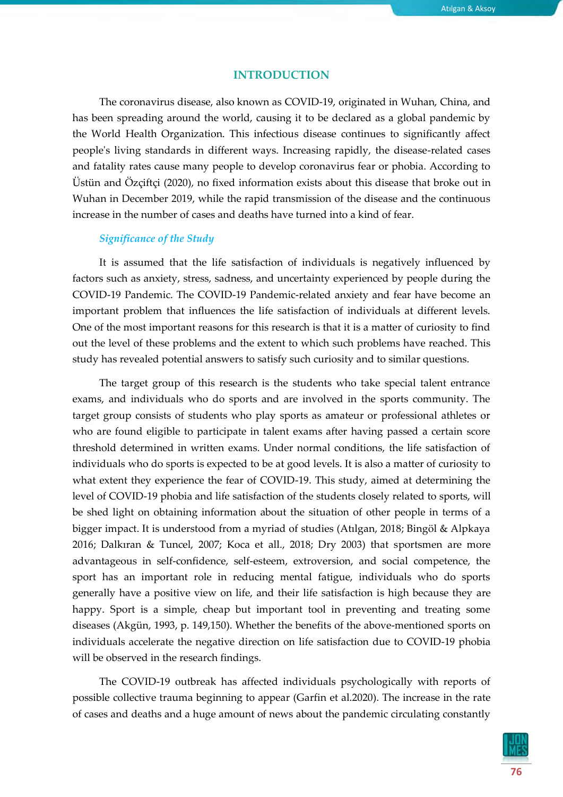### **INTRODUCTION**

The coronavirus disease, also known as COVID-19, originated in Wuhan, China, and has been spreading around the world, causing it to be declared as a global pandemic by the World Health Organization. This infectious disease continues to significantly affect people's living standards in different ways. Increasing rapidly, the disease-related cases and fatality rates cause many people to develop coronavirus fear or phobia. According to Üstün and Özçiftçi (2020), no fixed information exists about this disease that broke out in Wuhan in December 2019, while the rapid transmission of the disease and the continuous increase in the number of cases and deaths have turned into a kind of fear.

# *Significance of the Study*

It is assumed that the life satisfaction of individuals is negatively influenced by factors such as anxiety, stress, sadness, and uncertainty experienced by people during the COVID-19 Pandemic. The COVID-19 Pandemic-related anxiety and fear have become an important problem that influences the life satisfaction of individuals at different levels. One of the most important reasons for this research is that it is a matter of curiosity to find out the level of these problems and the extent to which such problems have reached. This study has revealed potential answers to satisfy such curiosity and to similar questions.

The target group of this research is the students who take special talent entrance exams, and individuals who do sports and are involved in the sports community. The target group consists of students who play sports as amateur or professional athletes or who are found eligible to participate in talent exams after having passed a certain score threshold determined in written exams. Under normal conditions, the life satisfaction of individuals who do sports is expected to be at good levels. It is also a matter of curiosity to what extent they experience the fear of COVID-19. This study, aimed at determining the level of COVID-19 phobia and life satisfaction of the students closely related to sports, will be shed light on obtaining information about the situation of other people in terms of a bigger impact. It is understood from a myriad of studies (Atılgan, 2018; Bingöl & Alpkaya 2016; Dalkıran & Tuncel, 2007; Koca et all., 2018; Dry 2003) that sportsmen are more advantageous in self-confidence, self-esteem, extroversion, and social competence, the sport has an important role in reducing mental fatigue, individuals who do sports generally have a positive view on life, and their life satisfaction is high because they are happy. Sport is a simple, cheap but important tool in preventing and treating some diseases (Akgün, 1993, p. 149,150). Whether the benefits of the above-mentioned sports on individuals accelerate the negative direction on life satisfaction due to COVID-19 phobia will be observed in the research findings.

The COVID-19 outbreak has affected individuals psychologically with reports of possible collective trauma beginning to appear (Garfin et al.2020). The increase in the rate of cases and deaths and a huge amount of news about the pandemic circulating constantly

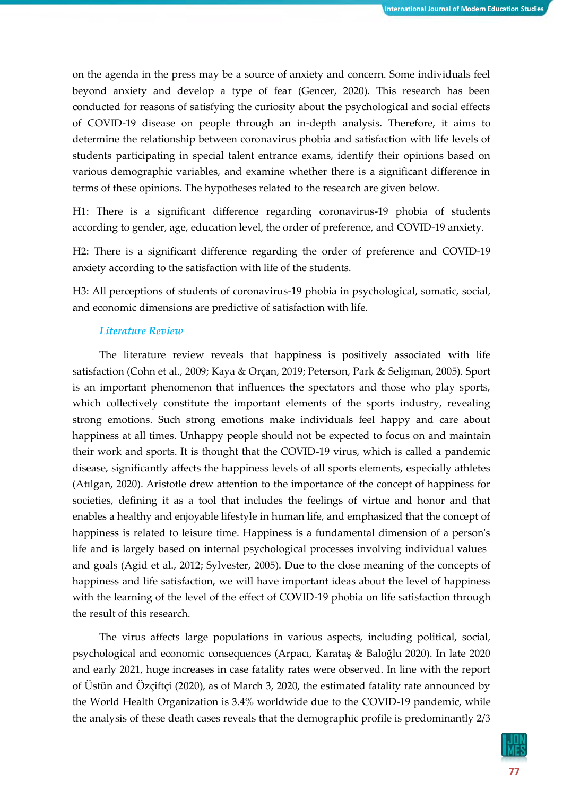on the agenda in the press may be a source of anxiety and concern. Some individuals feel beyond anxiety and develop a type of fear (Gencer, 2020). This research has been conducted for reasons of satisfying the curiosity about the psychological and social effects of COVID-19 disease on people through an in-depth analysis. Therefore, it aims to determine the relationship between coronavirus phobia and satisfaction with life levels of students participating in special talent entrance exams, identify their opinions based on various demographic variables, and examine whether there is a significant difference in terms of these opinions. The hypotheses related to the research are given below.

H1: There is a significant difference regarding coronavirus-19 phobia of students according to gender, age, education level, the order of preference, and COVID-19 anxiety.

H2: There is a significant difference regarding the order of preference and COVID-19 anxiety according to the satisfaction with life of the students.

H3: All perceptions of students of coronavirus-19 phobia in psychological, somatic, social, and economic dimensions are predictive of satisfaction with life.

#### *Literature Review*

The literature review reveals that happiness is positively associated with life satisfaction (Cohn et al., 2009; Kaya & Orçan, 2019; Peterson, Park & Seligman, 2005). Sport is an important phenomenon that influences the spectators and those who play sports, which collectively constitute the important elements of the sports industry, revealing strong emotions. Such strong emotions make individuals feel happy and care about happiness at all times. Unhappy people should not be expected to focus on and maintain their work and sports. It is thought that the COVID-19 virus, which is called a pandemic disease, significantly affects the happiness levels of all sports elements, especially athletes (Atılgan, 2020). Aristotle drew attention to the importance of the concept of happiness for societies, defining it as a tool that includes the feelings of virtue and honor and that enables a healthy and enjoyable lifestyle in human life, and emphasized that the concept of happiness is related to leisure time. Happiness is a fundamental dimension of a person's life and is largely based on internal psychological processes involving individual values and goals (Agid et al., 2012; Sylvester, 2005). Due to the close meaning of the concepts of happiness and life satisfaction, we will have important ideas about the level of happiness with the learning of the level of the effect of COVID-19 phobia on life satisfaction through the result of this research.

The virus affects large populations in various aspects, including political, social, psychological and economic consequences (Arpacı, Karataş & Baloğlu 2020). In late 2020 and early 2021, huge increases in case fatality rates were observed. In line with the report of Üstün and Özçiftçi (2020), as of March 3, 2020, the estimated fatality rate announced by the World Health Organization is 3.4% worldwide due to the COVID-19 pandemic, while the analysis of these death cases reveals that the demographic profile is predominantly 2/3

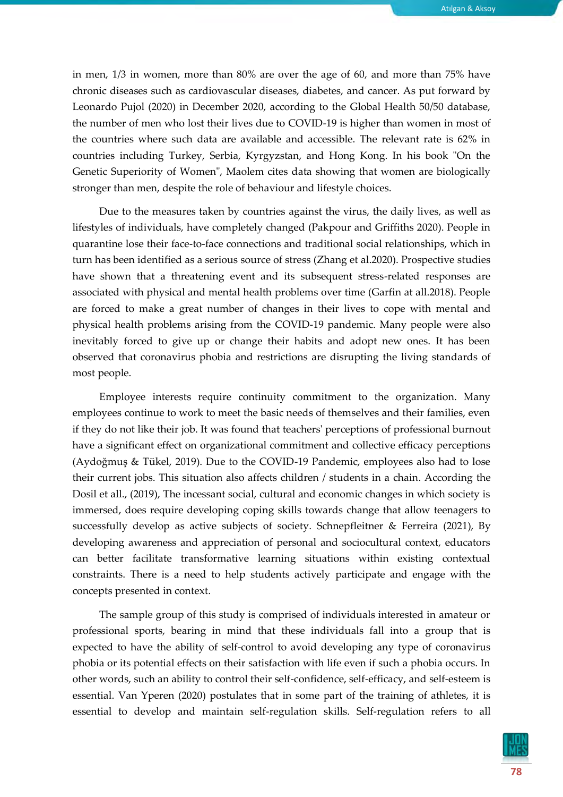in men, 1/3 in women, more than 80% are over the age of 60, and more than 75% have chronic diseases such as cardiovascular diseases, diabetes, and cancer. As put forward by Leonardo Pujol (2020) in December 2020, according to the Global Health 50/50 database, the number of men who lost their lives due to COVID-19 is higher than women in most of the countries where such data are available and accessible. The relevant rate is 62% in countries including Turkey, Serbia, Kyrgyzstan, and Hong Kong. In his book "On the Genetic Superiority of Women", Maolem cites data showing that women are biologically stronger than men, despite the role of behaviour and lifestyle choices.

Due to the measures taken by countries against the virus, the daily lives, as well as lifestyles of individuals, have completely changed (Pakpour and Griffiths 2020). People in quarantine lose their face-to-face connections and traditional social relationships, which in turn has been identified as a serious source of stress (Zhang et al.2020). Prospective studies have shown that a threatening event and its subsequent stress-related responses are associated with physical and mental health problems over time (Garfin at all.2018). People are forced to make a great number of changes in their lives to cope with mental and physical health problems arising from the COVID-19 pandemic. Many people were also inevitably forced to give up or change their habits and adopt new ones. It has been observed that coronavirus phobia and restrictions are disrupting the living standards of most people.

Employee interests require continuity commitment to the organization. Many employees continue to work to meet the basic needs of themselves and their families, even if they do not like their job. It was found that teachers' perceptions of professional burnout have a significant effect on organizational commitment and collective efficacy perceptions (Aydoğmuş & Tükel, 2019). Due to the COVID-19 Pandemic, employees also had to lose their current jobs. This situation also affects children / students in a chain. According the Dosil et all., (2019), The incessant social, cultural and economic changes in which society is immersed, does require developing coping skills towards change that allow teenagers to successfully develop as active subjects of society. Schnepfleitner & Ferreira (2021), By developing awareness and appreciation of personal and sociocultural context, educators can better facilitate transformative learning situations within existing contextual constraints. There is a need to help students actively participate and engage with the concepts presented in context.

The sample group of this study is comprised of individuals interested in amateur or professional sports, bearing in mind that these individuals fall into a group that is expected to have the ability of self-control to avoid developing any type of coronavirus phobia or its potential effects on their satisfaction with life even if such a phobia occurs. In other words, such an ability to control their self-confidence, self-efficacy, and self-esteem is essential. Van Yperen (2020) postulates that in some part of the training of athletes, it is essential to develop and maintain self-regulation skills. Self-regulation refers to all

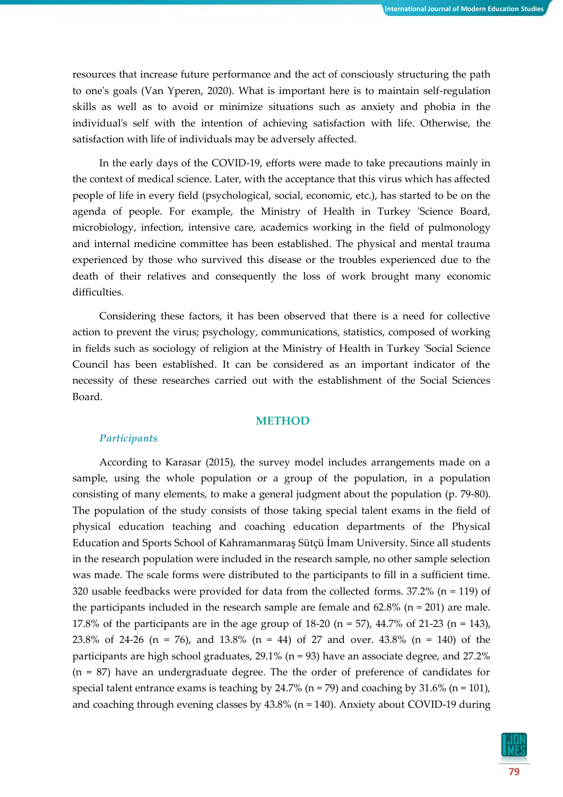resources that increase future performance and the act of consciously structuring the path to one's goals (Van Yperen, 2020). What is important here is to maintain self-regulation skills as well as to avoid or minimize situations such as anxiety and phobia in the individual's self with the intention of achieving satisfaction with life. Otherwise, the satisfaction with life of individuals may be adversely affected.

In the early days of the COVID-19, efforts were made to take precautions mainly in the context of medical science. Later, with the acceptance that this virus which has affected people of life in every field (psychological, social, economic, etc.), has started to be on the agenda of people. For example, the Ministry of Health in Turkey 'Science Board, microbiology, infection, intensive care, academics working in the field of pulmonology and internal medicine committee has been established. The physical and mental trauma experienced by those who survived this disease or the troubles experienced due to the death of their relatives and consequently the loss of work brought many economic difficulties.

Considering these factors, it has been observed that there is a need for collective action to prevent the virus; psychology, communications, statistics, composed of working in fields such as sociology of religion at the Ministry of Health in Turkey 'Social Science Council has been established. It can be considered as an important indicator of the necessity of these researches carried out with the establishment of the Social Sciences Board.

## **METHOD**

## *Participants*

According to Karasar (2015), the survey model includes arrangements made on a sample, using the whole population or a group of the population, in a population consisting of many elements, to make a general judgment about the population (p. 79-80). The population of the study consists of those taking special talent exams in the field of physical education teaching and coaching education departments of the Physical Education and Sports School of Kahramanmaraş Sütçü İmam University. Since all students in the research population were included in the research sample, no other sample selection was made. The scale forms were distributed to the participants to fill in a sufficient time. 320 usable feedbacks were provided for data from the collected forms.  $37.2\%$  (n = 119) of the participants included in the research sample are female and  $62.8\%$  (n = 201) are male. 17.8% of the participants are in the age group of  $18-20$  (n = 57),  $44.7\%$  of  $21-23$  (n = 143), 23.8% of 24-26 (n = 76), and 13.8% (n = 44) of 27 and over. 43.8% (n = 140) of the participants are high school graduates, 29.1% (n = 93) have an associate degree, and 27.2% (n = 87) have an undergraduate degree. The the order of preference of candidates for special talent entrance exams is teaching by 24.7% ( $n = 79$ ) and coaching by 31.6% ( $n = 101$ ), and coaching through evening classes by 43.8% (n = 140). Anxiety about COVID-19 during

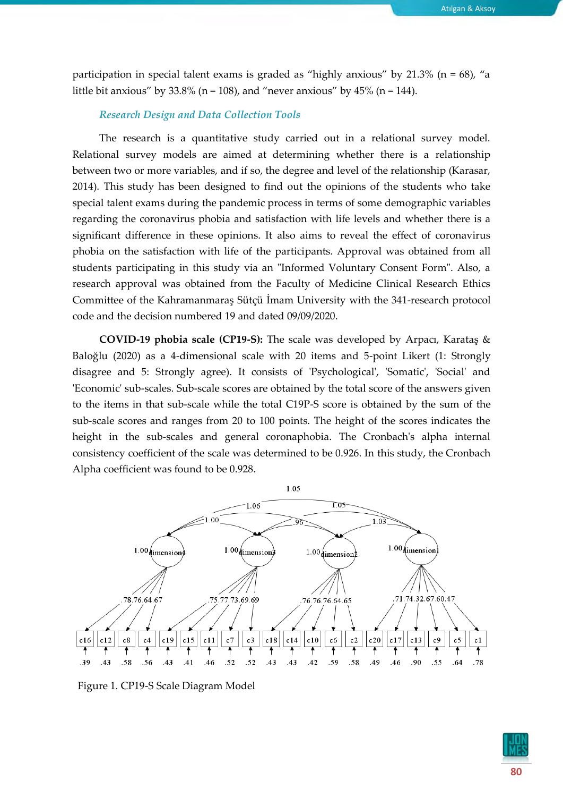participation in special talent exams is graded as "highly anxious" by  $21.3\%$  (n = 68), "a little bit anxious" by  $33.8\%$  (n = 108), and "never anxious" by  $45\%$  (n = 144).

#### *Research Design and Data Collection Tools*

The research is a quantitative study carried out in a relational survey model. Relational survey models are aimed at determining whether there is a relationship between two or more variables, and if so, the degree and level of the relationship (Karasar, 2014). This study has been designed to find out the opinions of the students who take special talent exams during the pandemic process in terms of some demographic variables regarding the coronavirus phobia and satisfaction with life levels and whether there is a significant difference in these opinions. It also aims to reveal the effect of coronavirus phobia on the satisfaction with life of the participants. Approval was obtained from all students participating in this study via an "Informed Voluntary Consent Form". Also, a research approval was obtained from the Faculty of Medicine Clinical Research Ethics Committee of the Kahramanmaraş Sütçü İmam University with the 341-research protocol code and the decision numbered 19 and dated 09/09/2020.

**COVID-19 phobia scale (CP19-S):** The scale was developed by Arpacı, Karataş & Baloğlu (2020) as a 4-dimensional scale with 20 items and 5-point Likert (1: Strongly disagree and 5: Strongly agree). It consists of 'Psychological', 'Somatic', 'Social' and 'Economic' sub-scales. Sub-scale scores are obtained by the total score of the answers given to the items in that sub-scale while the total C19P-S score is obtained by the sum of the sub-scale scores and ranges from 20 to 100 points. The height of the scores indicates the height in the sub-scales and general coronaphobia. The Cronbach's alpha internal consistency coefficient of the scale was determined to be 0.926. In this study, the Cronbach Alpha coefficient was found to be 0.928.



Figure 1. CP19-S Scale Diagram Model

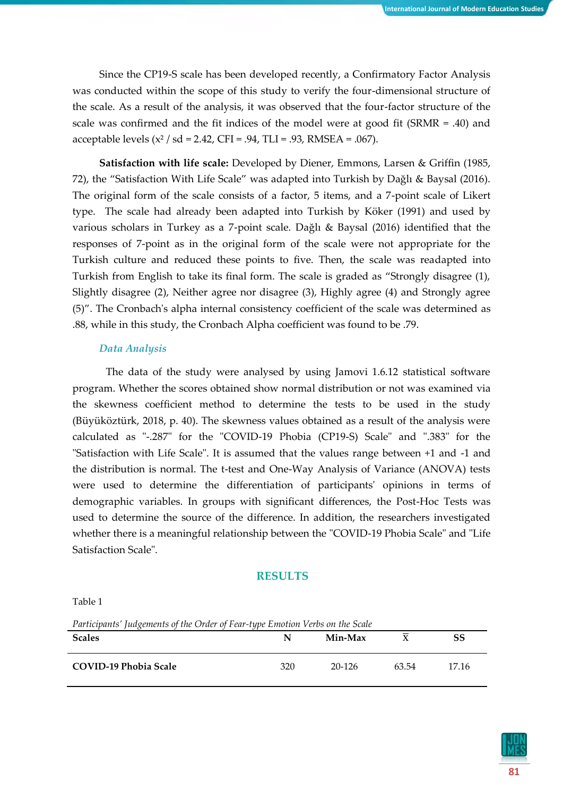Since the CP19-S scale has been developed recently, a Confirmatory Factor Analysis was conducted within the scope of this study to verify the four-dimensional structure of the scale. As a result of the analysis, it was observed that the four-factor structure of the scale was confirmed and the fit indices of the model were at good fit (SRMR = .40) and acceptable levels  $(x^2 / sd = 2.42, CFI = .94, TLI = .93, RMSEA = .067)$ .

**Satisfaction with life scale:** Developed by Diener, Emmons, Larsen & Griffin (1985, 72), the "Satisfaction With Life Scale" was adapted into Turkish by Dağlı & Baysal (2016). The original form of the scale consists of a factor, 5 items, and a 7-point scale of Likert type. The scale had already been adapted into Turkish by Köker (1991) and used by various scholars in Turkey as a 7-point scale. Dağlı & Baysal (2016) identified that the responses of 7-point as in the original form of the scale were not appropriate for the Turkish culture and reduced these points to five. Then, the scale was readapted into Turkish from English to take its final form. The scale is graded as "Strongly disagree (1), Slightly disagree (2), Neither agree nor disagree (3), Highly agree (4) and Strongly agree (5)". The Cronbach's alpha internal consistency coefficient of the scale was determined as .88, while in this study, the Cronbach Alpha coefficient was found to be .79.

## *Data Analysis*

The data of the study were analysed by using Jamovi 1.6.12 statistical software program. Whether the scores obtained show normal distribution or not was examined via the skewness coefficient method to determine the tests to be used in the study (Büyüköztürk, 2018, p. 40). The skewness values obtained as a result of the analysis were calculated as "-.287" for the "COVID-19 Phobia (CP19-S) Scale" and ".383" for the "Satisfaction with Life Scale". It is assumed that the values range between +1 and -1 and the distribution is normal. The t-test and One-Way Analysis of Variance (ANOVA) tests were used to determine the differentiation of participants' opinions in terms of demographic variables. In groups with significant differences, the Post-Hoc Tests was used to determine the source of the difference. In addition, the researchers investigated whether there is a meaningful relationship between the "COVID-19 Phobia Scale" and "Life Satisfaction Scale".

# **RESULTS**

Table 1

*Participants' Judgements of the Order of Fear-type Emotion Verbs on the Scale*

| <b>Scales</b>                | N   | Min-Max | $\mathbf{v}$ | SS    |
|------------------------------|-----|---------|--------------|-------|
| <b>COVID-19 Phobia Scale</b> | 320 | 20-126  | 63.54        | 17.16 |

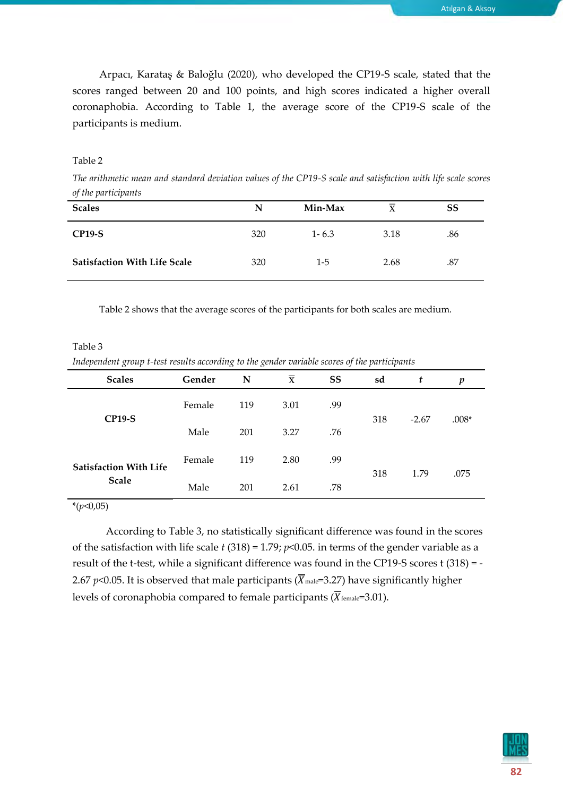Arpacı, Karataş & Baloğlu (2020), who developed the CP19-S scale, stated that the scores ranged between 20 and 100 points, and high scores indicated a higher overall coronaphobia. According to Table 1, the average score of the CP19-S scale of the participants is medium.

# Table 2

*The arithmetic mean and standard deviation values of the CP19-S scale and satisfaction with life scale scores of the participants*

| <b>Scales</b>                       | N   | Min-Max   | X    | SS  |
|-------------------------------------|-----|-----------|------|-----|
| <b>CP19-S</b>                       | 320 | $1 - 6.3$ | 3.18 | .86 |
| <b>Satisfaction With Life Scale</b> | 320 | 1-5       | 2.68 | .87 |

Table 2 shows that the average scores of the participants for both scales are medium.

Table 3 *Independent group t-test results according to the gender variable scores of the participants*

| <b>Scales</b>                                 | Gender | N   | $\overline{\mathbf{x}}$ | SS  | sd  | t       | p       |
|-----------------------------------------------|--------|-----|-------------------------|-----|-----|---------|---------|
| <b>CP19-S</b>                                 | Female | 119 | 3.01                    | .99 |     | $-2.67$ |         |
|                                               | Male   | 201 | 3.27                    | .76 | 318 |         | $.008*$ |
| <b>Satisfaction With Life</b><br><b>Scale</b> | Female | 119 | 2.80                    | .99 | 318 | 1.79    | .075    |
|                                               | Male   | 201 | 2.61                    | .78 |     |         |         |

\*(*p*<0,05)

According to Table 3, no statistically significant difference was found in the scores of the satisfaction with life scale *t* (318) = 1.79; *p*<0.05. in terms of the gender variable as a result of the t-test, while a significant difference was found in the CP19-S scores t (318) = - 2.67 *p*<0.05. It is observed that male participants ( $\overline{X}_{male}$ =3.27) have significantly higher levels of coronaphobia compared to female participants ( $\overline{X}_{\text{female}}=3.01$ ).

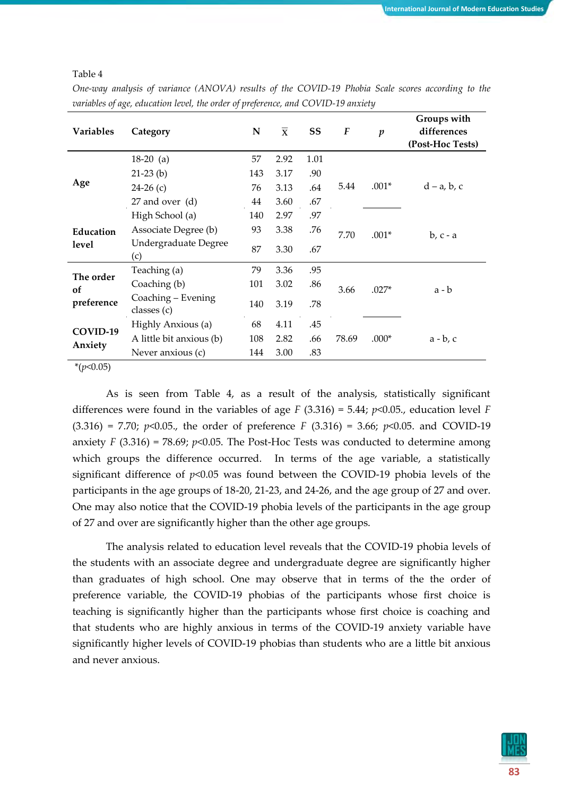Table 4

|                    | $\circ$ '                         |           |                         |      |                  |                  |                                                |
|--------------------|-----------------------------------|-----------|-------------------------|------|------------------|------------------|------------------------------------------------|
| <b>Variables</b>   | Category                          | ${\bf N}$ | $\overline{\mathbf{x}}$ | SS   | $\boldsymbol{F}$ | $\boldsymbol{p}$ | Groups with<br>differences<br>(Post-Hoc Tests) |
|                    | $18-20$ (a)                       | 57        | 2.92                    | 1.01 |                  |                  |                                                |
|                    | $21-23$ (b)                       | 143       | 3.17                    | .90  |                  |                  |                                                |
| Age                | $24-26(c)$                        | 76        | 3.13                    | .64  | 5.44             | $.001*$          | $d - a$ , b, c                                 |
|                    | 27 and over (d)                   | 44        | 3.60                    | .67  |                  |                  |                                                |
|                    | High School (a)                   | 140       | 2.97                    | .97  |                  |                  |                                                |
| Education<br>level | Associate Degree (b)              | 93        | 3.38                    | .76  | 7.70             | $.001*$          | $b, c - a$                                     |
|                    | Undergraduate Degree<br>(c)       | 87        | 3.30                    | .67  |                  |                  |                                                |
| The order          | Teaching (a)                      | 79        | 3.36                    | .95  |                  |                  |                                                |
| of                 | Coaching (b)                      | 101       | 3.02                    | .86  | 3.66             | $.027*$          | a - b                                          |
| preference         | Coaching - Evening<br>classes (c) | 140       | 3.19                    | .78  |                  |                  |                                                |
|                    | Highly Anxious (a)                | 68        | 4.11                    | .45  |                  |                  |                                                |
| COVID-19           | A little bit anxious (b)          | 108       | 2.82                    | .66  | 78.69            | $.000*$          | $a - b$ , c                                    |
| Anxiety            | Never anxious (c)                 | 144       | 3.00                    | .83  |                  |                  |                                                |
|                    |                                   |           |                         |      |                  |                  |                                                |

*One-way analysis of variance (ANOVA) results of the COVID-19 Phobia Scale scores according to the variables of age, education level, the order of preference, and COVID-19 anxiety*

\*(*p*<0.05)

As is seen from Table 4, as a result of the analysis, statistically significant differences were found in the variables of age  $F(3.316) = 5.44$ ;  $p<0.05$ ., education level  $F$  $(3.316) = 7.70$ ;  $p<0.05$ ., the order of preference *F*  $(3.316) = 3.66$ ;  $p<0.05$ . and COVID-19 anxiety *F* (3.316) = 78.69;  $p$ <0.05. The Post-Hoc Tests was conducted to determine among which groups the difference occurred. In terms of the age variable, a statistically significant difference of  $p<0.05$  was found between the COVID-19 phobia levels of the participants in the age groups of 18-20, 21-23, and 24-26, and the age group of 27 and over. One may also notice that the COVID-19 phobia levels of the participants in the age group of 27 and over are significantly higher than the other age groups.

The analysis related to education level reveals that the COVID-19 phobia levels of the students with an associate degree and undergraduate degree are significantly higher than graduates of high school. One may observe that in terms of the the order of preference variable, the COVID-19 phobias of the participants whose first choice is teaching is significantly higher than the participants whose first choice is coaching and that students who are highly anxious in terms of the COVID-19 anxiety variable have significantly higher levels of COVID-19 phobias than students who are a little bit anxious and never anxious.

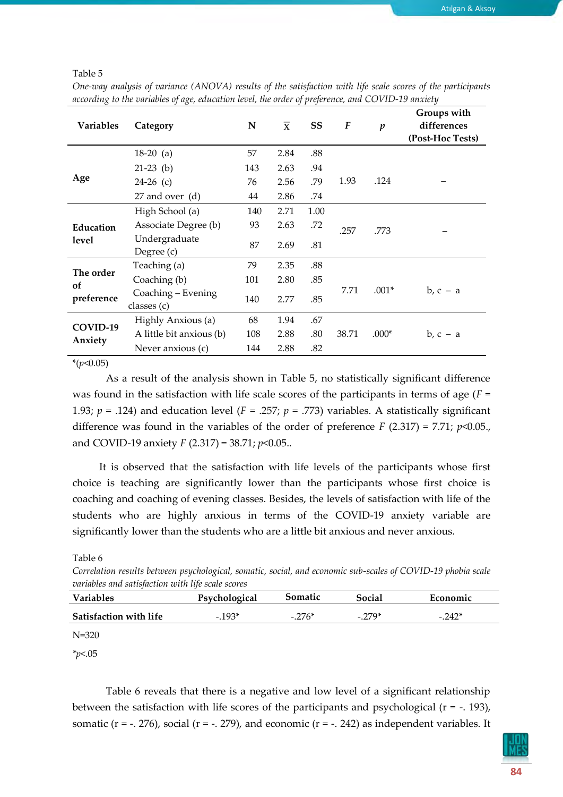Table 5

| One-way analysis of variance (ANOVA) results of the satisfaction with life scale scores of the participants |  |
|-------------------------------------------------------------------------------------------------------------|--|
| according to the variables of age, education level, the order of preference, and COVID-19 anxiety           |  |

| <b>Variables</b>    | Category                          | N   | $\overline{\mathbf{x}}$ | SS   | $\boldsymbol{F}$ | $\boldsymbol{p}$ | Groups with<br>differences<br>(Post-Hoc Tests) |
|---------------------|-----------------------------------|-----|-------------------------|------|------------------|------------------|------------------------------------------------|
|                     | $18-20$ (a)                       | 57  | 2.84                    | .88  |                  |                  |                                                |
|                     | $21-23$ (b)                       | 143 | 2.63                    | .94  |                  |                  |                                                |
| Age                 | $24-26$ (c)                       | 76  | 2.56                    | .79  | 1.93             | .124             |                                                |
|                     | 27 and over (d)                   | 44  | 2.86                    | .74  |                  |                  |                                                |
|                     | High School (a)                   | 140 | 2.71                    | 1.00 |                  |                  |                                                |
| Education<br>level  | Associate Degree (b)              | 93  | 2.63                    | .72  | .257<br>.773     |                  |                                                |
|                     | Undergraduate<br>Degree (c)       | 87  | 2.69                    | .81  |                  |                  |                                                |
| The order           | Teaching (a)                      | 79  | 2.35                    | .88  |                  |                  |                                                |
| <sub>of</sub>       | Coaching (b)                      | 101 | 2.80                    | .85  |                  |                  |                                                |
| preference          | Coaching - Evening<br>classes (c) | 140 | 2.77                    | .85  | 7.71<br>$.001*$  |                  | $b, c - a$                                     |
| COVID-19<br>Anxiety | Highly Anxious (a)                | 68  | 1.94                    | .67  |                  |                  |                                                |
|                     | A little bit anxious (b)          | 108 | 2.88                    | .80  | 38.71            | $.000*$          | $b, c - a$                                     |
|                     | Never anxious (c)                 | 144 | 2.88                    | .82  |                  |                  |                                                |

\*(*p*<0.05)

As a result of the analysis shown in Table 5, no statistically significant difference was found in the satisfaction with life scale scores of the participants in terms of age (*F* = 1.93;  $p = .124$ ) and education level ( $F = .257$ ;  $p = .773$ ) variables. A statistically significant difference was found in the variables of the order of preference *F* (2.317) = 7.71; *p*<0.05., and COVID-19 anxiety *F* (2.317) = 38.71; *p*<0.05..

It is observed that the satisfaction with life levels of the participants whose first choice is teaching are significantly lower than the participants whose first choice is coaching and coaching of evening classes. Besides, the levels of satisfaction with life of the students who are highly anxious in terms of the COVID-19 anxiety variable are significantly lower than the students who are a little bit anxious and never anxious.

Table 6

*Correlation results between psychological, somatic, social, and economic sub-scales of COVID-19 phobia scale variables and satisfaction with life scale scores*

| <b>Variables</b>              | Psychological | Somatic | Social    | Economic |
|-------------------------------|---------------|---------|-----------|----------|
| <b>Satisfaction with life</b> | $-0.193*$     | $-276*$ | $-0.279*$ | $-.242*$ |

N=320

*\*p*<.05

Table 6 reveals that there is a negative and low level of a significant relationship between the satisfaction with life scores of the participants and psychological  $(r = -193)$ , somatic ( $r = -1.276$ ), social ( $r = -1.279$ ), and economic ( $r = -1.242$ ) as independent variables. It

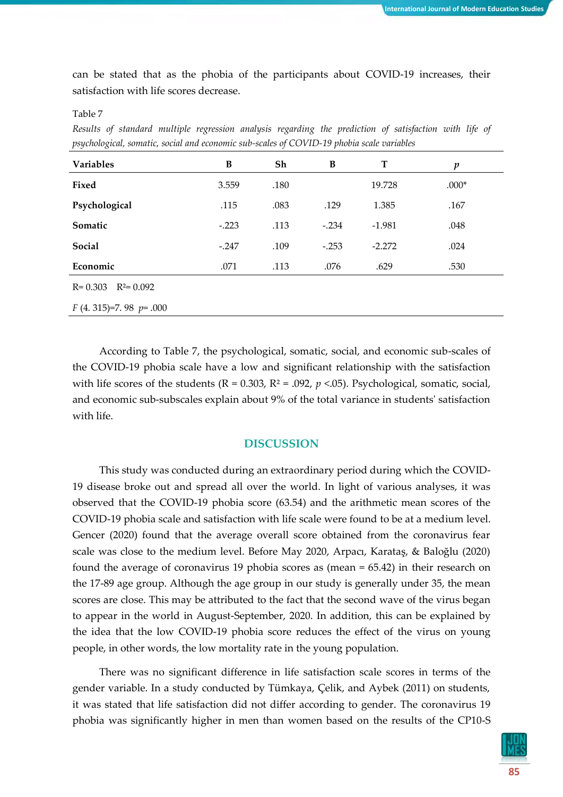can be stated that as the phobia of the participants about COVID-19 increases, their satisfaction with life scores decrease.

Table 7

*Results of standard multiple regression analysis regarding the prediction of satisfaction with life of psychological, somatic, social and economic sub-scales of COVID-19 phobia scale variables*

| <b>Variables</b>             | B       | Sh   | B       | T        | p       |
|------------------------------|---------|------|---------|----------|---------|
| Fixed                        | 3.559   | .180 |         | 19.728   | $.000*$ |
| Psychological                | .115    | .083 | .129    | 1.385    | .167    |
| Somatic                      | $-.223$ | .113 | $-.234$ | $-1.981$ | .048    |
| Social                       | $-.247$ | .109 | $-.253$ | $-2.272$ | .024    |
| Economic                     | .071    | .113 | .076    | .629     | .530    |
| $R^2 = 0.092$<br>$R = 0.303$ |         |      |         |          |         |
| $F(4.315)=7.98 p=.000$       |         |      |         |          |         |

According to Table 7, the psychological, somatic, social, and economic sub-scales of the COVID-19 phobia scale have a low and significant relationship with the satisfaction with life scores of the students ( $R = 0.303$ ,  $R^2 = .092$ ,  $p < .05$ ). Psychological, somatic, social, and economic sub-subscales explain about 9% of the total variance in students' satisfaction with life.

# **DISCUSSION**

This study was conducted during an extraordinary period during which the COVID-19 disease broke out and spread all over the world. In light of various analyses, it was observed that the COVID-19 phobia score (63.54) and the arithmetic mean scores of the COVID-19 phobia scale and satisfaction with life scale were found to be at a medium level. Gencer (2020) found that the average overall score obtained from the coronavirus fear scale was close to the medium level. Before May 2020, Arpacı, Karataş, & Baloğlu (2020) found the average of coronavirus 19 phobia scores as (mean = 65.42) in their research on the 17-89 age group. Although the age group in our study is generally under 35, the mean scores are close. This may be attributed to the fact that the second wave of the virus began to appear in the world in August-September, 2020. In addition, this can be explained by the idea that the low COVID-19 phobia score reduces the effect of the virus on young people, in other words, the low mortality rate in the young population.

There was no significant difference in life satisfaction scale scores in terms of the gender variable. In a study conducted by Tümkaya, Çelik, and Aybek (2011) on students, it was stated that life satisfaction did not differ according to gender. The coronavirus 19 phobia was significantly higher in men than women based on the results of the CP10-S

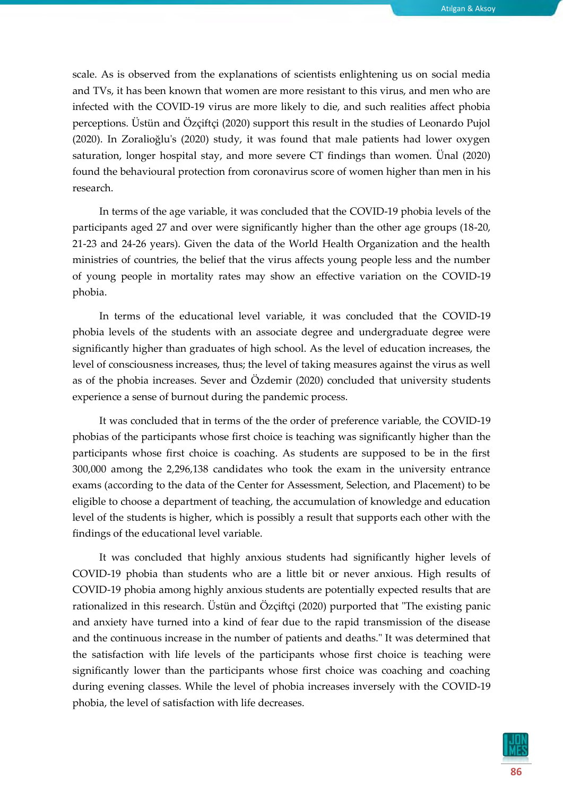scale. As is observed from the explanations of scientists enlightening us on social media and TVs, it has been known that women are more resistant to this virus, and men who are infected with the COVID-19 virus are more likely to die, and such realities affect phobia perceptions. Üstün and Özçiftçi (2020) support this result in the studies of Leonardo Pujol (2020). In Zoralioğlu's (2020) study, it was found that male patients had lower oxygen saturation, longer hospital stay, and more severe CT findings than women. Ünal (2020) found the behavioural protection from coronavirus score of women higher than men in his research.

In terms of the age variable, it was concluded that the COVID-19 phobia levels of the participants aged 27 and over were significantly higher than the other age groups (18-20, 21-23 and 24-26 years). Given the data of the World Health Organization and the health ministries of countries, the belief that the virus affects young people less and the number of young people in mortality rates may show an effective variation on the COVID-19 phobia.

In terms of the educational level variable, it was concluded that the COVID-19 phobia levels of the students with an associate degree and undergraduate degree were significantly higher than graduates of high school. As the level of education increases, the level of consciousness increases, thus; the level of taking measures against the virus as well as of the phobia increases. Sever and Özdemir (2020) concluded that university students experience a sense of burnout during the pandemic process.

It was concluded that in terms of the the order of preference variable, the COVID-19 phobias of the participants whose first choice is teaching was significantly higher than the participants whose first choice is coaching. As students are supposed to be in the first 300,000 among the 2,296,138 candidates who took the exam in the university entrance exams (according to the data of the Center for Assessment, Selection, and Placement) to be eligible to choose a department of teaching, the accumulation of knowledge and education level of the students is higher, which is possibly a result that supports each other with the findings of the educational level variable.

It was concluded that highly anxious students had significantly higher levels of COVID-19 phobia than students who are a little bit or never anxious. High results of COVID-19 phobia among highly anxious students are potentially expected results that are rationalized in this research. Üstün and Özçiftçi (2020) purported that "The existing panic and anxiety have turned into a kind of fear due to the rapid transmission of the disease and the continuous increase in the number of patients and deaths." It was determined that the satisfaction with life levels of the participants whose first choice is teaching were significantly lower than the participants whose first choice was coaching and coaching during evening classes. While the level of phobia increases inversely with the COVID-19 phobia, the level of satisfaction with life decreases.

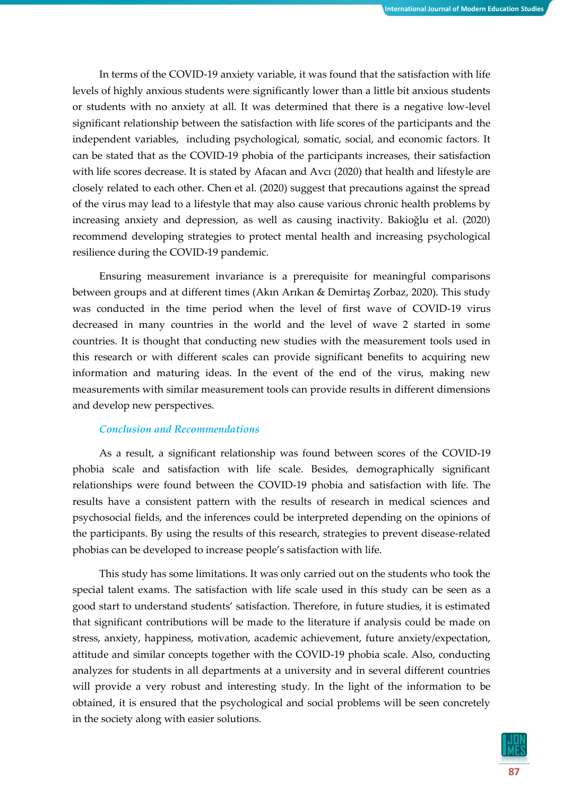In terms of the COVID-19 anxiety variable, it was found that the satisfaction with life levels of highly anxious students were significantly lower than a little bit anxious students or students with no anxiety at all. It was determined that there is a negative low-level significant relationship between the satisfaction with life scores of the participants and the independent variables, including psychological, somatic, social, and economic factors. It can be stated that as the COVID-19 phobia of the participants increases, their satisfaction with life scores decrease. It is stated by Afacan and Avci (2020) that health and lifestyle are closely related to each other. Chen et al. (2020) suggest that precautions against the spread of the virus may lead to a lifestyle that may also cause various chronic health problems by increasing anxiety and depression, as well as causing inactivity. Bakioğlu et al. (2020) recommend developing strategies to protect mental health and increasing psychological resilience during the COVID-19 pandemic.

Ensuring measurement invariance is a prerequisite for meaningful comparisons between groups and at different times (Akın Arıkan & Demirtaş Zorbaz, 2020). This study was conducted in the time period when the level of first wave of COVID-19 virus decreased in many countries in the world and the level of wave 2 started in some countries. It is thought that conducting new studies with the measurement tools used in this research or with different scales can provide significant benefits to acquiring new information and maturing ideas. In the event of the end of the virus, making new measurements with similar measurement tools can provide results in different dimensions and develop new perspectives.

# *Conclusion and Recommendations*

As a result, a significant relationship was found between scores of the COVID-19 phobia scale and satisfaction with life scale. Besides, demographically significant relationships were found between the COVID-19 phobia and satisfaction with life. The results have a consistent pattern with the results of research in medical sciences and psychosocial fields, and the inferences could be interpreted depending on the opinions of the participants. By using the results of this research, strategies to prevent disease-related phobias can be developed to increase people's satisfaction with life.

This study has some limitations. It was only carried out on the students who took the special talent exams. The satisfaction with life scale used in this study can be seen as a good start to understand students' satisfaction. Therefore, in future studies, it is estimated that significant contributions will be made to the literature if analysis could be made on stress, anxiety, happiness, motivation, academic achievement, future anxiety/expectation, attitude and similar concepts together with the COVID-19 phobia scale. Also, conducting analyzes for students in all departments at a university and in several different countries will provide a very robust and interesting study. In the light of the information to be obtained, it is ensured that the psychological and social problems will be seen concretely in the society along with easier solutions.

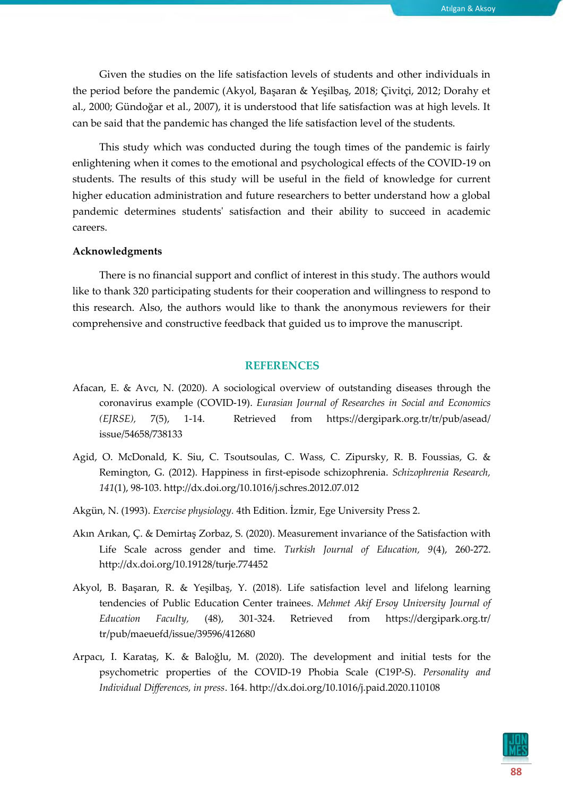Given the studies on the life satisfaction levels of students and other individuals in the period before the pandemic (Akyol, Başaran & Yeşilbaş, 2018; Çivitçi, 2012; Dorahy et al., 2000; Gündoğar et al., 2007), it is understood that life satisfaction was at high levels. It can be said that the pandemic has changed the life satisfaction level of the students.

This study which was conducted during the tough times of the pandemic is fairly enlightening when it comes to the emotional and psychological effects of the COVID-19 on students. The results of this study will be useful in the field of knowledge for current higher education administration and future researchers to better understand how a global pandemic determines students' satisfaction and their ability to succeed in academic careers.

#### **Acknowledgments**

There is no financial support and conflict of interest in this study. The authors would like to thank 320 participating students for their cooperation and willingness to respond to this research. Also, the authors would like to thank the anonymous reviewers for their comprehensive and constructive feedback that guided us to improve the manuscript.

## **REFERENCES**

- Afacan, E. & Avcı, N. (2020). A sociological overview of outstanding diseases through the coronavirus example (COVID-19). *Eurasian Journal of Researches in Social and Economics (EJRSE),* 7(5), 1-14. Retrieved from [https://dergipark.org.tr/t](https://dergipark.org.tr/)r/pub/asead/ issue/54658/738133
- Agid, O. McDonald, K. Siu, C. Tsoutsoulas, C. Wass, C. Zipursky, R. B. Foussias, G. & Remington, G. (2012). Happiness in first-episode schizophrenia. *Schizophrenia Research, 141*(1), 98-103. http://dx.doi.org/10.1016/j.schres.2012.07.012
- Akgün, N. (1993). *Exercise physiology.* 4th Edition. İzmir, Ege University Press 2.
- Akın Arıkan, Ç. & Demirtaş Zorbaz, S. (2020). Measurement invariance of the Satisfaction with Life Scale across gender and time. *Turkish Journal of Education, 9*(4), 260-272. http://dx.doi.org/10.19128/turje.774452
- Akyol, B. Başaran, R. & Yeşilbaş, Y. (2018). Life satisfaction level and lifelong learning tendencies of Public Education Center trainees. *Mehmet Akif Ersoy University Journal of Education Faculty,* (48), 301-324. Retrieved from <https://dergipark.org.tr/> tr/pub/maeuefd/issue/39596/412680
- Arpacı, I. Karataş, K. & Baloğlu, M. (2020). The development and initial tests for the psychometric properties of the COVID-19 Phobia Scale (C19P-S). *Personality and Individual Differences, in press*. 164. http://dx.doi.org[/10.1016/j.paid.2020.110108](https://doi.org/10.1016/j.paid.2020.110108)

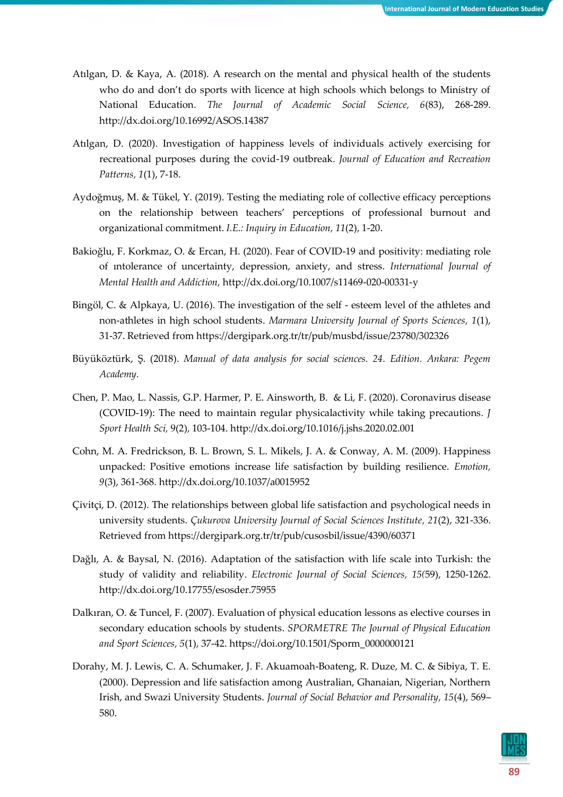- Atılgan, D. & Kaya, A. (2018). A research on the mental and physical health of the students who do and don't do sports with licence at high schools which belongs to Ministry of National Education. *The Journal of Academic Social Science, 6*(83), 268-289. http://dx.doi.org/10.16992/ASOS.14387
- Atılgan, D. (2020). Investigation of happiness levels of individuals actively exercising for recreational purposes during the covid-19 outbreak. *Journal of Education and Recreation Patterns, 1*(1), 7-18.
- Aydoğmuş, M. & Tükel, Y. (2019). Testing the mediating role of collective efficacy perceptions on the relationship between teachers' perceptions of professional burnout and organizational commitment. *I.E.: Inquiry in Education, 11*(2), 1-20.
- Bakioğlu, F. Korkmaz, O. & Ercan, H. (2020). Fear of COVID-19 and positivity: mediating role of ıntolerance of uncertainty, depression, anxiety, and stress. *International Journal of Mental Health and Addiction,* http://dx.doi.org/10.1007/s11469-020-00331-y
- Bingöl, C. & Alpkaya, U. (2016). The investigation of the self esteem level of the athletes and non-athletes in high school students. *Marmara University Journal of Sports Sciences, 1*(1), 31-37. Retrieved from https://dergipark.org.tr/tr/pub/musbd/issue/23780/302326
- Büyüköztürk, Ş. (2018). *Manual of data analysis for social sciences. 24. Edition. Ankara: Pegem Academy.*
- Chen, P. Mao, L. Nassis, G.P. Harmer, P. E. Ainsworth, B. & Li, F. (2020). Coronavirus disease (COVID-19): The need to maintain regular physicalactivity while taking precautions*. J Sport Health Sci,* 9(2), 103-104. http://dx.doi.org/10.1016/j.jshs.2020.02.001
- Cohn, M. A. Fredrickson, B. L. Brown, S. L. Mikels, J. A. & Conway, A. M. (2009). Happiness unpacked: Positive emotions increase life satisfaction by building resilience. *Emotion, 9*(3), 361-368. http://dx.doi.org/10.1037/a0015952
- Çivitçi, D. (2012). The relationships between global life satisfaction and psychological needs in university students. *Çukurova University Journal of Social Sciences Institute, 21*(2), 321-336. Retrieved from https://dergipark.org.tr/tr/pub/cusosbil/issue/4390/60371
- Dağlı, A. & Baysal, N. (2016). Adaptation of the satisfaction with life scale into Turkish: the study of validity and reliability. *Electronic Journal of Social Sciences, 15(*59), 1250-1262. http://dx.doi.org/10.17755/esosder.75955
- Dalkıran, O. & Tuncel, F. (2007). Evaluation of physical education lessons as elective courses in secondary education schools by students. *SPORMETRE The Journal of Physical Education and Sport Sciences, 5*(1), 37-42. https://doi.org/10.1501/Sporm\_0000000121
- Dorahy, M. J. Lewis, C. A. Schumaker, J. F. Akuamoah-Boateng, R. Duze, M. C. & Sibiya, T. E. (2000). Depression and life satisfaction among Australian, Ghanaian, Nigerian, Northern Irish, and Swazi University Students. *Journal of Social Behavior and Personality, 15*(4), 569– 580.

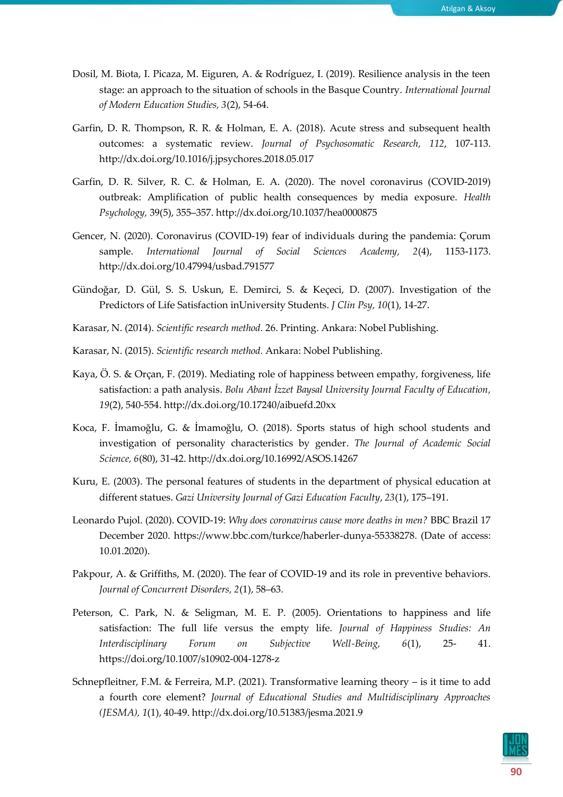- Dosil, M. Biota, I. Picaza, M. Eiguren, A. & Rodríguez, I. (2019). Resilience analysis in the teen stage: an approach to the situation of schools in the Basque Country. *International Journal of Modern Education Studies, 3*(2), 54‐64.
- Garfin, D. R. Thompson, R. R. & Holman, E. A. (2018). Acute stress and subsequent health outcomes: a systematic review. *Journal of Psychosomatic Research, 112*, 107-113. http://dx.doi.org/10.1016/j.jpsychores.2018.05.017
- Garfin, D. R. Silver, R. C. & Holman, E. A. (2020). The novel coronavirus (COVID-2019) outbreak: Amplification of public health consequences by media exposure. *Health Psychology,* 39(5), 355–357. http://dx.doi.org/10.1037/hea0000875
- Gencer, N. (2020). Coronavirus (COVID-19) fear of individuals during the pandemia: Çorum sample. *International Journal of Social Sciences Academy, 2*(4), 1153-1173. http://dx.doi.org/10.47994/usbad.791577
- Gündoğar, D. Gül, S. S. Uskun, E. Demirci, S. & Keçeci, D. (2007). Investigation of the Predictors of Life Satisfaction inUniversity Students. *J Clin Psy, 10*(1), 14-27.
- Karasar, N. (2014). *Scientific research method.* 26. Printing. Ankara: Nobel Publishing.
- Karasar, N. (2015). *Scientific research method.* Ankara: Nobel Publishing.
- Kaya, Ö. S. & Orçan, F. (2019). Mediating role of happiness between empathy, forgiveness, life satisfaction: a path analysis. *Bolu Abant İzzet Baysal University Journal Faculty of Education, 19*(2), 540-554. http://dx.doi.org/10.17240/aibuefd.20xx
- Koca, F. İmamoğlu, G. & İmamoğlu, O. (2018). Sports status of high school students and investigation of personality characteristics by gender. *The Journal of Academic Social Science, 6*(80), 31-42. <http://dx.doi.org/10.16992/ASOS.14267>
- Kuru, E. (2003). The personal features of students in the department of physical education at different statues. *Gazi University Journal of Gazi Education Faculty*, *23*(1), 175–191.
- Leonardo Pujol. (2020). COVID-19: *Why does coronavirus cause more deaths in men?* BBC Brazil 17 December 2020. https://www.bbc.com/turkce/haberler-dunya-55338278. (Date of access: 10.01.2020).
- Pakpour, A. & Griffiths, M. (2020). The fear of COVID-19 and its role in preventive behaviors. *Journal of Concurrent Disorders, 2*(1), 58–63.
- Peterson, C. Park, N. & Seligman, M. E. P. (2005). Orientations to happiness and life satisfaction: The full life versus the empty life. *Journal of Happiness Studies: An Interdisciplinary Forum on Subjective Well-Being, 6*(1), 25- 41. https://doi.org/10.1007/s10902-004-1278-z
- Schnepfleitner, F.M. & Ferreira, M.P. (2021). Transformative learning theory is it time to add a fourth core element? *Journal of Educational Studies and Multidisciplinary Approaches (JESMA), 1*(1), 40-49. http://dx.doi.org/10.51383/jesma.2021.9